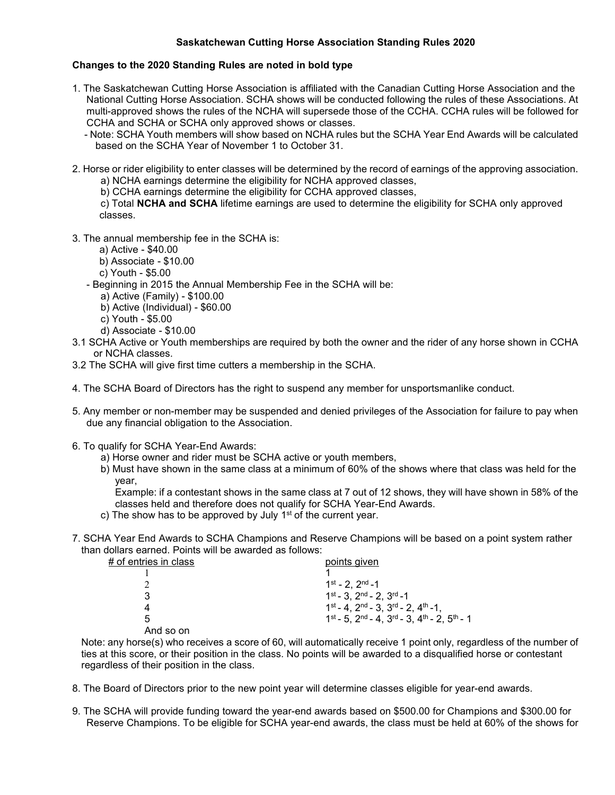## **Saskatchewan Cutting Horse Association Standing Rules 2020**

## **Changes to the 2020 Standing Rules are noted in bold type**

- 1. The Saskatchewan Cutting Horse Association is affiliated with the Canadian Cutting Horse Association and the National Cutting Horse Association. SCHA shows will be conducted following the rules of these Associations. At multi-approved shows the rules of the NCHA will supersede those of the CCHA. CCHA rules will be followed for CCHA and SCHA or SCHA only approved shows or classes.
	- Note: SCHA Youth members will show based on NCHA rules but the SCHA Year End Awards will be calculated based on the SCHA Year of November 1 to October 31.
- 2. Horse or rider eligibility to enter classes will be determined by the record of earnings of the approving association. a) NCHA earnings determine the eligibility for NCHA approved classes,
	- b) CCHA earnings determine the eligibility for CCHA approved classes,

c) Total **NCHA and SCHA** lifetime earnings are used to determine the eligibility for SCHA only approved classes.

- 3. The annual membership fee in the SCHA is:
	- a) Active \$40.00
	- b) Associate \$10.00
	- c) Youth \$5.00
	- Beginning in 2015 the Annual Membership Fee in the SCHA will be:
		- a) Active (Family) \$100.00
		- b) Active (Individual) \$60.00
		- c) Youth \$5.00
		- d) Associate \$10.00
- 3.1 SCHA Active or Youth memberships are required by both the owner and the rider of any horse shown in CCHA or NCHA classes.
- 3.2 The SCHA will give first time cutters a membership in the SCHA.
- 4. The SCHA Board of Directors has the right to suspend any member for unsportsmanlike conduct.
- 5. Any member or non-member may be suspended and denied privileges of the Association for failure to pay when due any financial obligation to the Association.
- 6. To qualify for SCHA Year-End Awards:
	- a) Horse owner and rider must be SCHA active or youth members,
	- b) Must have shown in the same class at a minimum of 60% of the shows where that class was held for the year,

Example: if a contestant shows in the same class at 7 out of 12 shows, they will have shown in 58% of the classes held and therefore does not qualify for SCHA Year-End Awards.

- c) The show has to be approved by July 1<sup>st</sup> of the current year.
- 7. SCHA Year End Awards to SCHA Champions and Reserve Champions will be based on a point system rather than dollars earned. Points will be awarded as follows:

| # of entries in class | points given                                                         |
|-----------------------|----------------------------------------------------------------------|
|                       |                                                                      |
|                       | $1^{st}$ - 2, $2^{nd}$ -1                                            |
| 3                     | $1^{st} - 3$ , $2^{nd} - 2$ , $3^{rd} - 1$                           |
| 4                     | $1^{st} - 4$ , $2^{nd} - 3$ , $3^{rd} - 2$ , $4^{th} - 1$ ,          |
| 5                     | $1^{st}$ - 5, $2^{nd}$ - 4, $3^{rd}$ - 3, $4^{th}$ - 2, $5^{th}$ - 1 |
| And so on             |                                                                      |

Note: any horse(s) who receives a score of 60, will automatically receive 1 point only, regardless of the number of ties at this score, or their position in the class. No points will be awarded to a disqualified horse or contestant regardless of their position in the class.

- 8. The Board of Directors prior to the new point year will determine classes eligible for year-end awards.
- 9. The SCHA will provide funding toward the year-end awards based on \$500.00 for Champions and \$300.00 for Reserve Champions. To be eligible for SCHA year-end awards, the class must be held at 60% of the shows for